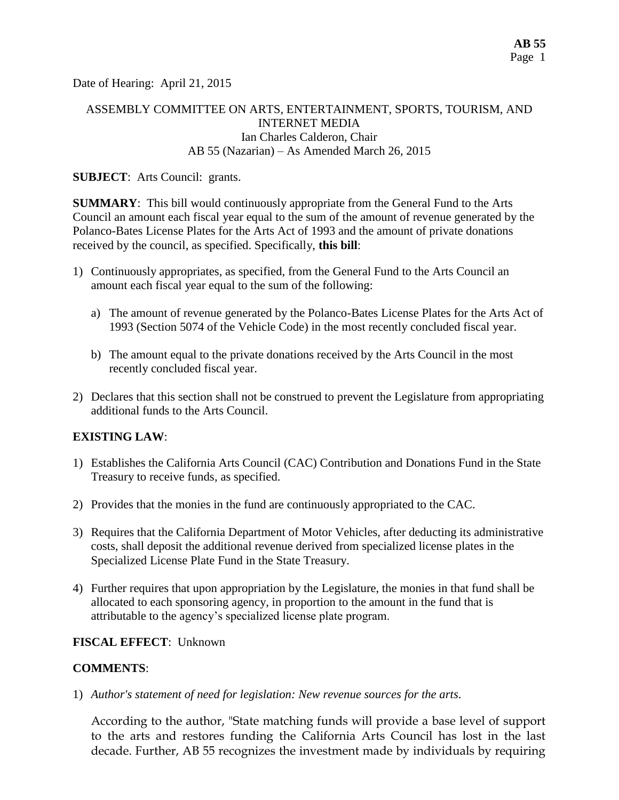Date of Hearing: April 21, 2015

# ASSEMBLY COMMITTEE ON ARTS, ENTERTAINMENT, SPORTS, TOURISM, AND INTERNET MEDIA Ian Charles Calderon, Chair AB 55 (Nazarian) – As Amended March 26, 2015

## **SUBJECT**: Arts Council: grants.

**SUMMARY**: This bill would continuously appropriate from the General Fund to the Arts Council an amount each fiscal year equal to the sum of the amount of revenue generated by the Polanco-Bates License Plates for the Arts Act of 1993 and the amount of private donations received by the council, as specified. Specifically, **this bill**:

- 1) Continuously appropriates, as specified, from the General Fund to the Arts Council an amount each fiscal year equal to the sum of the following:
	- a) The amount of revenue generated by the Polanco-Bates License Plates for the Arts Act of 1993 (Section 5074 of the Vehicle Code) in the most recently concluded fiscal year.
	- b) The amount equal to the private donations received by the Arts Council in the most recently concluded fiscal year.
- 2) Declares that this section shall not be construed to prevent the Legislature from appropriating additional funds to the Arts Council.

## **EXISTING LAW**:

- 1) Establishes the California Arts Council (CAC) Contribution and Donations Fund in the State Treasury to [receive funds,](http://lisprdweblb.calegis.net:7010/LISWeb/faces/bills/billdetail.xhtml) as specified.
- 2) Provides that the monies in the fund are continuously appropriated to the CAC.
- 3) Requires that the California Department of Motor Vehicles, after deducting its administrative costs, shall deposit the additional revenue derived from specialized license plates in the Specialized License Plate Fund in the State Treasury.
- 4) Further requires that upon appropriation by the Legislature, the monies in that fund shall be allocated to each sponsoring agency, in proportion to the amount in the fund that is attributable to the agency's specialized license plate program.

## **FISCAL EFFECT**: Unknown

### **COMMENTS**:

1) *Author's statement of need for legislation: New revenue sources for the arts*.

According to the author, "State matching funds will provide a base level of support to the arts and restores funding the California Arts Council has lost in the last decade. Further, AB 55 recognizes the investment made by individuals by requiring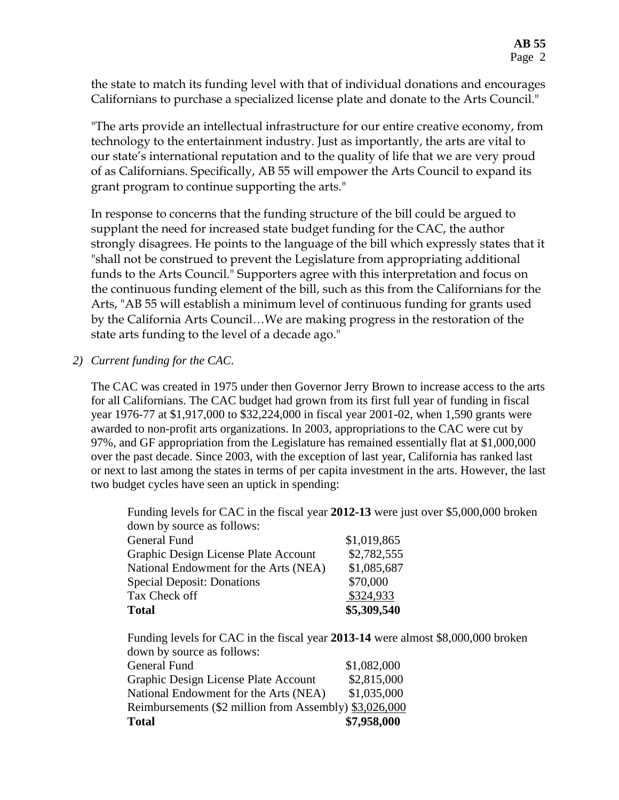the state to match its funding level with that of individual donations and encourages Californians to purchase a specialized license plate and donate to the Arts Council."

"The arts provide an intellectual infrastructure for our entire creative economy, from technology to the entertainment industry. Just as importantly, the arts are vital to our state's international reputation and to the quality of life that we are very proud of as Californians. Specifically, AB 55 will empower the Arts Council to expand its grant program to continue supporting the arts."

In response to concerns that the funding structure of the bill could be argued to supplant the need for increased state budget funding for the CAC, the author strongly disagrees. He points to the language of the bill which expressly states that it "shall not be construed to prevent the Legislature from appropriating additional funds to the Arts Council." Supporters agree with this interpretation and focus on the continuous funding element of the bill, such as this from the Californians for the Arts, "AB 55 will establish a minimum level of continuous funding for grants used by the California Arts Council…We are making progress in the restoration of the state arts funding to the level of a decade ago."

# *2) Current funding for the CAC.*

The CAC was created in 1975 under then Governor Jerry Brown to increase access to the arts for all Californians. The CAC budget had grown from its first full year of funding in fiscal year 1976-77 at \$1,917,000 to \$32,224,000 in fiscal year 2001-02, when 1,590 grants were awarded to non-profit arts organizations. In 2003, appropriations to the CAC were cut by 97%, and GF appropriation from the Legislature has remained essentially flat at \$1,000,000 over the past decade. Since 2003, with the exception of last year, California has ranked last or next to last among the states in terms of per capita investment in the arts. However, the last two budget cycles have seen an uptick in spending:

Funding levels for CAC in the fiscal year **2012-13** were just over \$5,000,000 broken down by source as follows:

| Total                                 | \$5,309,540 |
|---------------------------------------|-------------|
| Tax Check off                         | \$324,933   |
| <b>Special Deposit: Donations</b>     | \$70,000    |
| National Endowment for the Arts (NEA) | \$1,085,687 |
| Graphic Design License Plate Account  | \$2,782,555 |
| General Fund                          | \$1,019,865 |

Funding levels for CAC in the fiscal year **2013-14** were almost \$8,000,000 broken down by source as follows:

| <b>Total</b>                                           | \$7,958,000 |
|--------------------------------------------------------|-------------|
| Reimbursements (\$2 million from Assembly) \$3,026,000 |             |
| National Endowment for the Arts (NEA)                  | \$1,035,000 |
| Graphic Design License Plate Account                   | \$2,815,000 |
| General Fund                                           | \$1,082,000 |